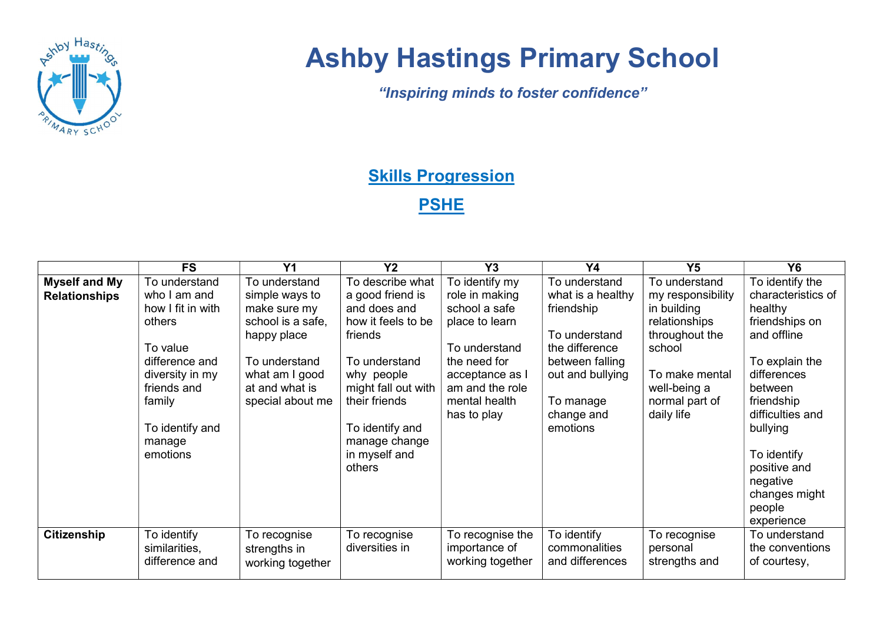

## Ashby Hastings Primary School

"Inspiring minds to foster confidence"

## **Skills Progression**

**PSHE** 

|                                              | <b>FS</b>                                                                                                                                                                       | Y <sub>1</sub>                                                                                                                                               | Y <sub>2</sub>                                                                                                                                                                                                              | Y3                                                                                                                                                                         | <b>Y4</b>                                                                                                                                                         | Y <sub>5</sub>                                                                                                                                                   | <b>Y6</b>                                                                                                                                                                                                                                                       |
|----------------------------------------------|---------------------------------------------------------------------------------------------------------------------------------------------------------------------------------|--------------------------------------------------------------------------------------------------------------------------------------------------------------|-----------------------------------------------------------------------------------------------------------------------------------------------------------------------------------------------------------------------------|----------------------------------------------------------------------------------------------------------------------------------------------------------------------------|-------------------------------------------------------------------------------------------------------------------------------------------------------------------|------------------------------------------------------------------------------------------------------------------------------------------------------------------|-----------------------------------------------------------------------------------------------------------------------------------------------------------------------------------------------------------------------------------------------------------------|
| <b>Myself and My</b><br><b>Relationships</b> | To understand<br>who I am and<br>how I fit in with<br>others<br>To value<br>difference and<br>diversity in my<br>friends and<br>family<br>To identify and<br>manage<br>emotions | To understand<br>simple ways to<br>make sure my<br>school is a safe,<br>happy place<br>To understand<br>what am I good<br>at and what is<br>special about me | To describe what<br>a good friend is<br>and does and<br>how it feels to be<br>friends<br>To understand<br>why people<br>might fall out with<br>their friends<br>To identify and<br>manage change<br>in myself and<br>others | To identify my<br>role in making<br>school a safe<br>place to learn<br>To understand<br>the need for<br>acceptance as I<br>am and the role<br>mental health<br>has to play | To understand<br>what is a healthy<br>friendship<br>To understand<br>the difference<br>between falling<br>out and bullying<br>To manage<br>change and<br>emotions | To understand<br>my responsibility<br>in building<br>relationships<br>throughout the<br>school<br>To make mental<br>well-being a<br>normal part of<br>daily life | To identify the<br>characteristics of<br>healthy<br>friendships on<br>and offline<br>To explain the<br>differences<br>between<br>friendship<br>difficulties and<br>bullying<br>To identify<br>positive and<br>negative<br>changes might<br>people<br>experience |
| <b>Citizenship</b>                           | To identify<br>similarities,<br>difference and                                                                                                                                  | To recognise<br>strengths in<br>working together                                                                                                             | To recognise<br>diversities in                                                                                                                                                                                              | To recognise the<br>importance of<br>working together                                                                                                                      | To identify<br>commonalities<br>and differences                                                                                                                   | To recognise<br>personal<br>strengths and                                                                                                                        | To understand<br>the conventions<br>of courtesy,                                                                                                                                                                                                                |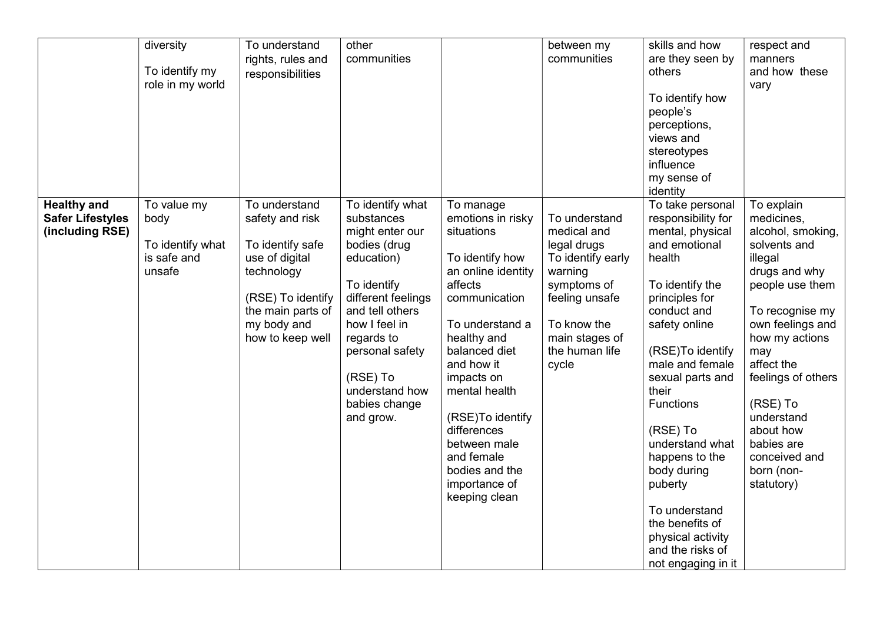|                                                                  | diversity<br>To identify my<br>role in my world                  | To understand<br>rights, rules and<br>responsibilities                                                                                                            | other<br>communities                                                                                                                                                                                                                                  |                                                                                                                                                                                                                                                                                                                                        | between my<br>communities                                                                                                                                                | skills and how<br>are they seen by<br>others<br>To identify how<br>people's<br>perceptions,<br>views and<br>stereotypes<br>influence<br>my sense of<br>identity                                                                                                                                                                                                                                                                  | respect and<br>manners<br>and how these<br>vary                                                                                                                                                                                                                                                                    |
|------------------------------------------------------------------|------------------------------------------------------------------|-------------------------------------------------------------------------------------------------------------------------------------------------------------------|-------------------------------------------------------------------------------------------------------------------------------------------------------------------------------------------------------------------------------------------------------|----------------------------------------------------------------------------------------------------------------------------------------------------------------------------------------------------------------------------------------------------------------------------------------------------------------------------------------|--------------------------------------------------------------------------------------------------------------------------------------------------------------------------|----------------------------------------------------------------------------------------------------------------------------------------------------------------------------------------------------------------------------------------------------------------------------------------------------------------------------------------------------------------------------------------------------------------------------------|--------------------------------------------------------------------------------------------------------------------------------------------------------------------------------------------------------------------------------------------------------------------------------------------------------------------|
| <b>Healthy and</b><br><b>Safer Lifestyles</b><br>(including RSE) | To value my<br>body<br>To identify what<br>is safe and<br>unsafe | To understand<br>safety and risk<br>To identify safe<br>use of digital<br>technology<br>(RSE) To identify<br>the main parts of<br>my body and<br>how to keep well | To identify what<br>substances<br>might enter our<br>bodies (drug<br>education)<br>To identify<br>different feelings<br>and tell others<br>how I feel in<br>regards to<br>personal safety<br>(RSE) To<br>understand how<br>babies change<br>and grow. | To manage<br>emotions in risky<br>situations<br>To identify how<br>an online identity<br>affects<br>communication<br>To understand a<br>healthy and<br>balanced diet<br>and how it<br>impacts on<br>mental health<br>(RSE)To identify<br>differences<br>between male<br>and female<br>bodies and the<br>importance of<br>keeping clean | To understand<br>medical and<br>legal drugs<br>To identify early<br>warning<br>symptoms of<br>feeling unsafe<br>To know the<br>main stages of<br>the human life<br>cycle | To take personal<br>responsibility for<br>mental, physical<br>and emotional<br>health<br>To identify the<br>principles for<br>conduct and<br>safety online<br>(RSE)To identify<br>male and female<br>sexual parts and<br>their<br><b>Functions</b><br>(RSE) To<br>understand what<br>happens to the<br>body during<br>puberty<br>To understand<br>the benefits of<br>physical activity<br>and the risks of<br>not engaging in it | To explain<br>medicines,<br>alcohol, smoking,<br>solvents and<br>illegal<br>drugs and why<br>people use them<br>To recognise my<br>own feelings and<br>how my actions<br>may<br>affect the<br>feelings of others<br>(RSE) To<br>understand<br>about how<br>babies are<br>conceived and<br>born (non-<br>statutory) |